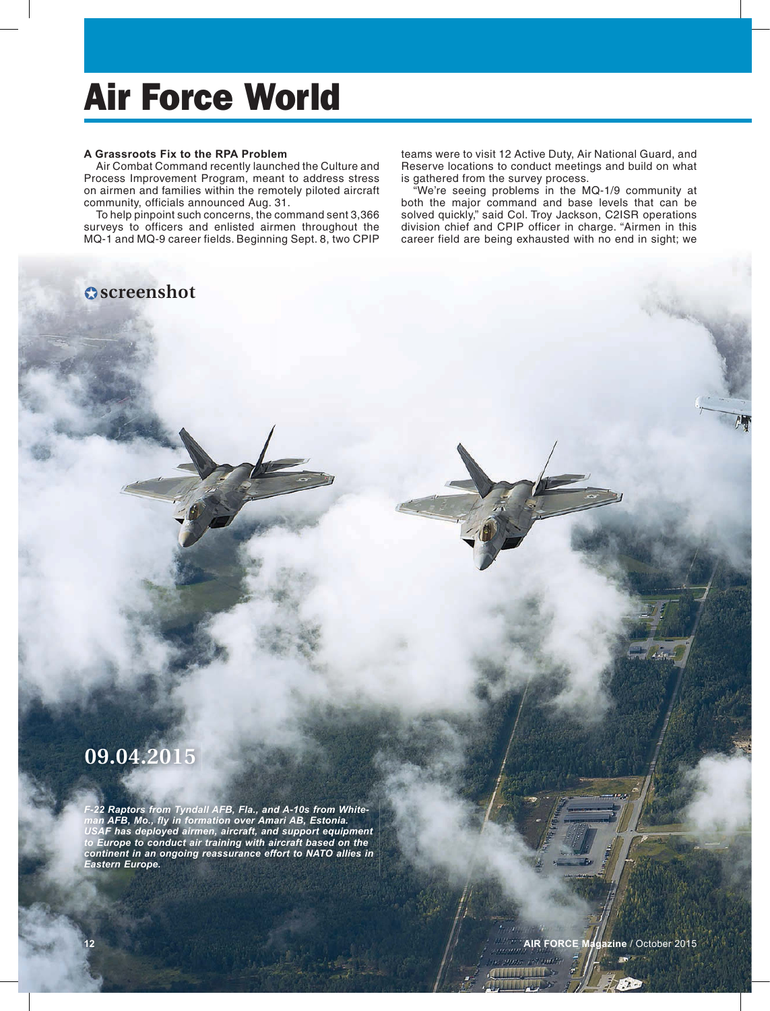## Air Force World

### **A Grassroots Fix to the RPA Problem**

Air Combat Command recently launched the Culture and Process Improvement Program, meant to address stress on airmen and families within the remotely piloted aircraft community, officials announced Aug. 31.

To help pinpoint such concerns, the command sent 3,366 surveys to officers and enlisted airmen throughout the MQ-1 and MQ-9 career fields. Beginning Sept. 8, two CPIP

### **Oscreenshot**

teams were to visit 12 Active Duty, Air National Guard, and Reserve locations to conduct meetings and build on what is gathered from the survey process.

"We're seeing problems in the MQ-1/9 community at both the major command and base levels that can be solved quickly," said Col. Troy Jackson, C2ISR operations division chief and CPIP officer in charge. "Airmen in this career field are being exhausted with no end in sight; we

### **09.04.2015**

*F-22 Raptors from Tyndall AFB, Fla., and A-10s from White*man AFB, Mo., fly in formation over Amari AB, Estonia. *USAF has deployed airmen, aircraft, and support equipment to Europe to conduct air training with aircraft based on the continent in an ongoing reassurance effort to NATO allies in Eastern Europe.*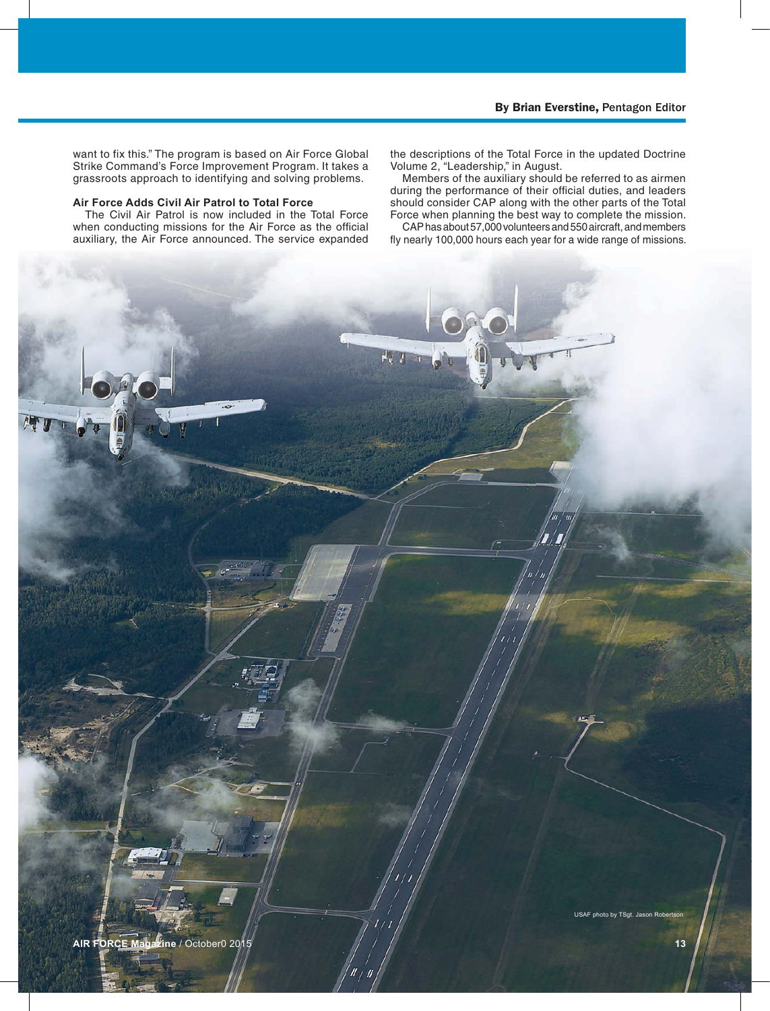want to fix this." The program is based on Air Force Global Strike Command's Force Improvement Program. It takes a grassroots approach to identifying and solving problems.

### **Air Force Adds Civil Air Patrol to Total Force**

The Civil Air Patrol is now included in the Total Force when conducting missions for the Air Force as the official auxiliary, the Air Force announced. The service expanded the descriptions of the Total Force in the updated Doctrine Volume 2, "Leadership," in August.

Members of the auxiliary should be referred to as airmen during the performance of their official duties, and leaders should consider CAP along with the other parts of the Total Force when planning the best way to complete the mission.

CAP has about 57,000 volunteers and 550 aircraft, and members fly nearly 100,000 hours each year for a wide range of missions.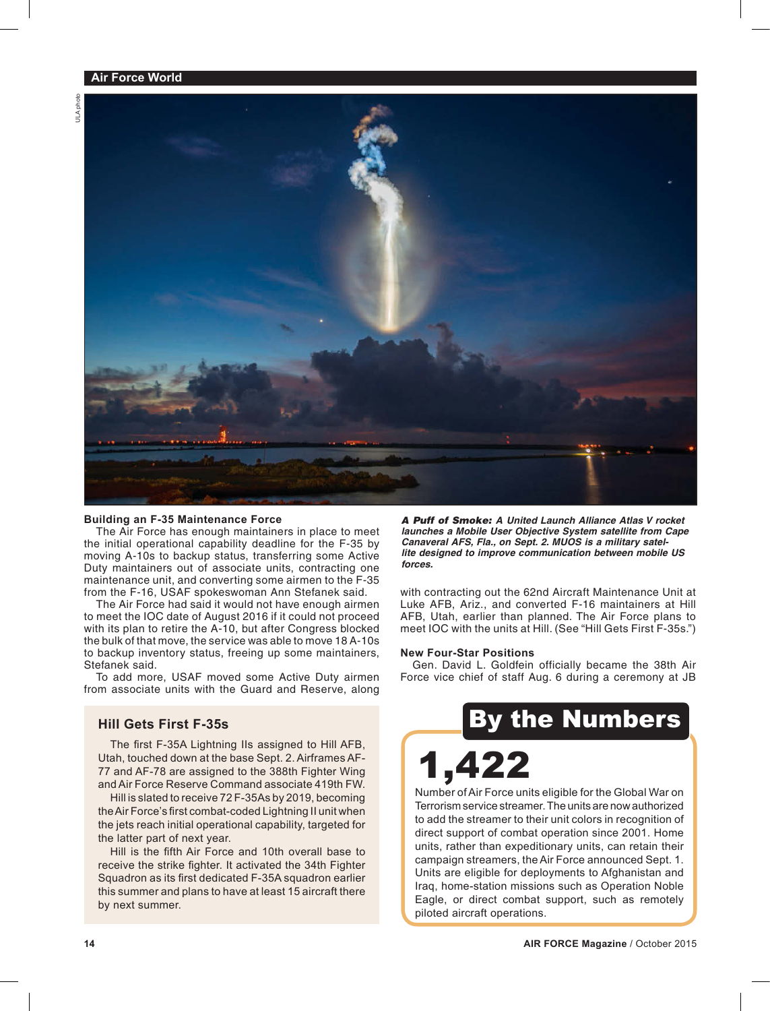

### **Building an F-35 Maintenance Force**

The Air Force has enough maintainers in place to meet the initial operational capability deadline for the F-35 by moving A-10s to backup status, transferring some Active Duty maintainers out of associate units, contracting one maintenance unit, and converting some airmen to the F-35 from the F-16, USAF spokeswoman Ann Stefanek said.

The Air Force had said it would not have enough airmen to meet the IOC date of August 2016 if it could not proceed with its plan to retire the A-10, but after Congress blocked the bulk of that move, the service was able to move 18 A-10s to backup inventory status, freeing up some maintainers, Stefanek said.

To add more, USAF moved some Active Duty airmen from associate units with the Guard and Reserve, along

### **Hill Gets First F-35s**

The first F-35A Lightning IIs assigned to Hill AFB, Utah, touched down at the base Sept. 2. Airframes AF-77 and AF-78 are assigned to the 388th Fighter Wing and Air Force Reserve Command associate 419th FW.

Hill is slated to receive 72 F-35As by 2019, becoming the Air Force's first combat-coded Lightning II unit when the jets reach initial operational capability, targeted for the latter part of next year.

Hill is the fifth Air Force and 10th overall base to receive the strike fighter. It activated the 34th Fighter Squadron as its first dedicated F-35A squadron earlier this summer and plans to have at least 15 aircraft there by next summer.

*A Puff of Smoke: A United Launch Alliance Atlas V rocket launches a Mobile User Objective System satellite from Cape Canaveral AFS, Fla., on Sept. 2. MUOS is a military satellite designed to improve communication between mobile US forces.*

with contracting out the 62nd Aircraft Maintenance Unit at Luke AFB, Ariz., and converted F-16 maintainers at Hill AFB, Utah, earlier than planned. The Air Force plans to meet IOC with the units at Hill. (See "Hill Gets First F-35s.")

### **New Four-Star Positions**

Gen. David L. Goldfein officially became the 38th Air Force vice chief of staff Aug. 6 during a ceremony at JB

## By the Numbers

# 1,422

Number of Air Force units eligible for the Global War on Terrorism service streamer. The units are now authorized to add the streamer to their unit colors in recognition of direct support of combat operation since 2001. Home units, rather than expeditionary units, can retain their campaign streamers, the Air Force announced Sept. 1. Units are eligible for deployments to Afghanistan and Iraq, home-station missions such as Operation Noble Eagle, or direct combat support, such as remotely piloted aircraft operations.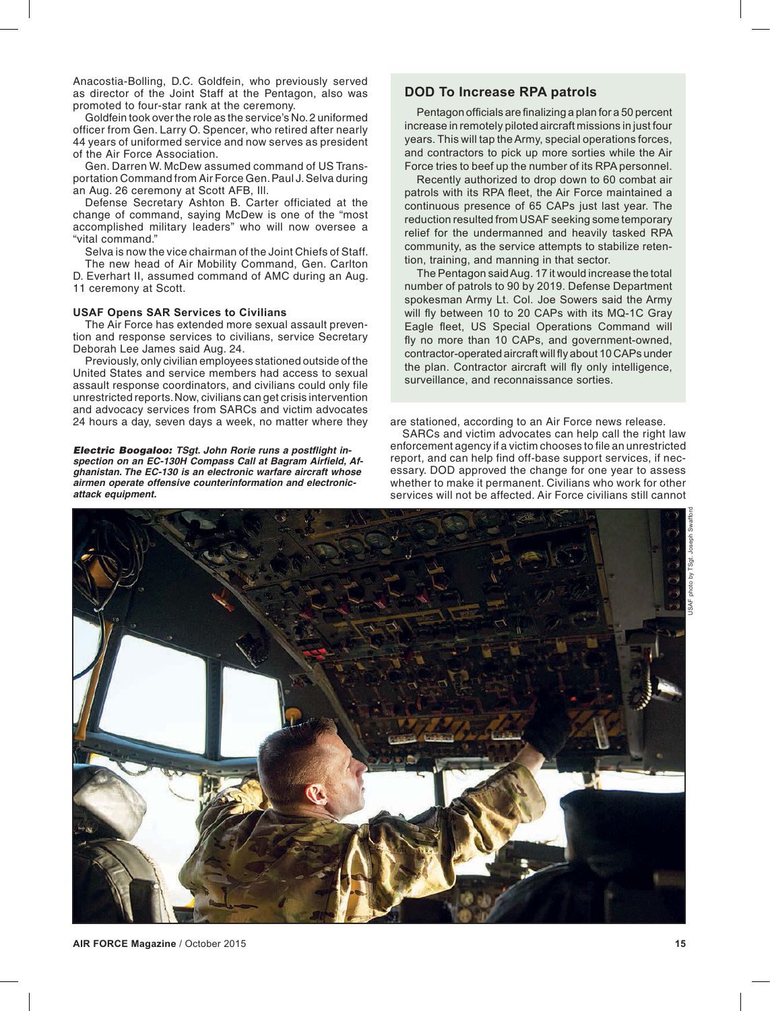Anacostia-Bolling, D.C. Goldfein, who previously served as director of the Joint Staff at the Pentagon, also was promoted to four-star rank at the ceremony.

Goldfein took over the role as the service's No. 2 uniformed officer from Gen. Larry O. Spencer, who retired after nearly 44 years of uniformed service and now serves as president of the Air Force Association.

Gen. Darren W. McDew assumed command of US Transportation Command from Air Force Gen. Paul J. Selva during an Aug. 26 ceremony at Scott AFB, Ill.

Defense Secretary Ashton B. Carter officiated at the change of command, saying McDew is one of the "most accomplished military leaders" who will now oversee a "vital command."

Selva is now the vice chairman of the Joint Chiefs of Staff.

The new head of Air Mobility Command, Gen. Carlton D. Everhart II, assumed command of AMC during an Aug. 11 ceremony at Scott.

### **USAF Opens SAR Services to Civilians**

The Air Force has extended more sexual assault prevention and response services to civilians, service Secretary Deborah Lee James said Aug. 24.

Previously, only civilian employees stationed outside of the United States and service members had access to sexual assault response coordinators, and civilians could only file unrestricted reports. Now, civilians can get crisis intervention and advocacy services from SARCs and victim advocates 24 hours a day, seven days a week, no matter where they

*Electric Boogaloo: TSgt. John Rorie runs a postflight inspection on an EC-130H Compass Call at Bagram Airfield, Afghanistan. The EC-130 is an electronic warfare aircraft whose airmen operate offensive counterinformation and electronicattack equipment.*

### **DOD To Increase RPA patrols**

Pentagon officials are finalizing a plan for a 50 percent increase in remotely piloted aircraft missions in just four years. This will tap the Army, special operations forces, and contractors to pick up more sorties while the Air Force tries to beef up the number of its RPA personnel.

Recently authorized to drop down to 60 combat air patrols with its RPA fleet, the Air Force maintained a continuous presence of 65 CAPs just last year. The reduction resulted from USAF seeking some temporary relief for the undermanned and heavily tasked RPA community, as the service attempts to stabilize retention, training, and manning in that sector.

The Pentagon said Aug. 17 it would increase the total number of patrols to 90 by 2019. Defense Department spokesman Army Lt. Col. Joe Sowers said the Army will fly between 10 to 20 CAPs with its MQ-1C Gray Eagle fleet, US Special Operations Command will fly no more than 10 CAPs, and government-owned. contractor-operated aircraft will fly about 10 CAPs under the plan. Contractor aircraft will fly only intelligence, surveillance, and reconnaissance sorties.

are stationed, according to an Air Force news release.

SARCs and victim advocates can help call the right law enforcement agency if a victim chooses to file an unrestricted report, and can help find off-base support services, if necessary. DOD approved the change for one year to assess whether to make it permanent. Civilians who work for other services will not be affected. Air Force civilians still cannot

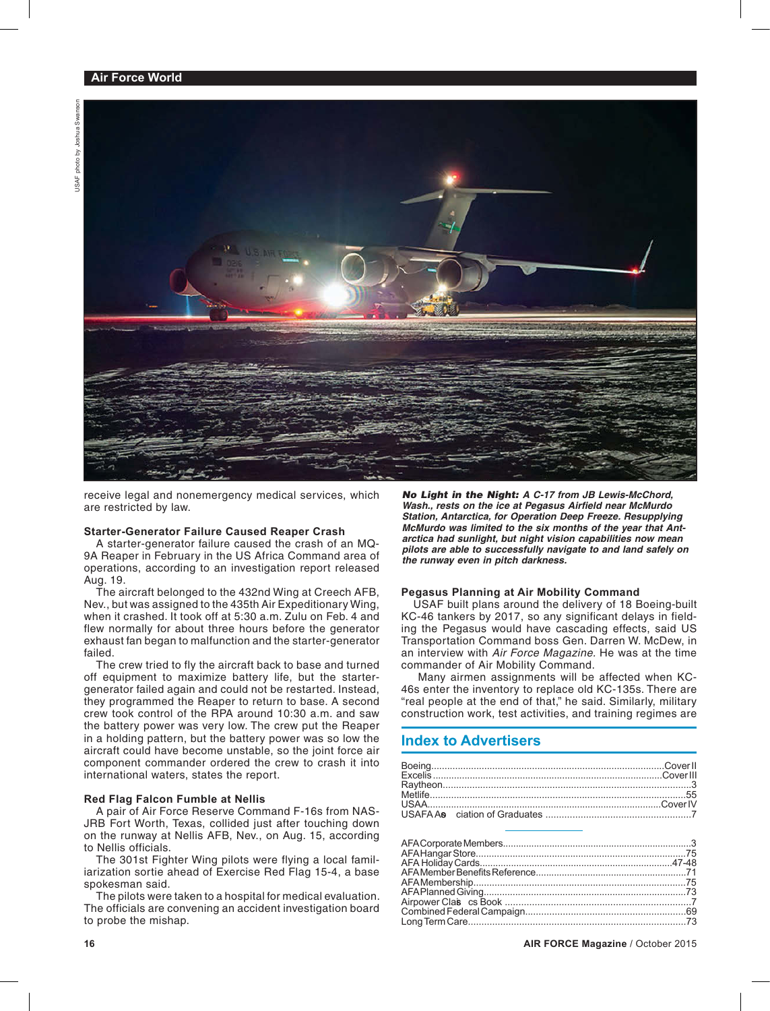

receive legal and nonemergency medical services, which are restricted by law.

### **Starter-Generator Failure Caused Reaper Crash**

A starter-generator failure caused the crash of an MQ-9A Reaper in February in the US Africa Command area of operations, according to an investigation report released Aug. 19.

The aircraft belonged to the 432nd Wing at Creech AFB, Nev., but was assigned to the 435th Air Expeditionary Wing, when it crashed. It took off at 5:30 a.m. Zulu on Feb. 4 and flew normally for about three hours before the generator exhaust fan began to malfunction and the starter-generator failed.

The crew tried to fly the aircraft back to base and turned off equipment to maximize battery life, but the startergenerator failed again and could not be restarted. Instead, they programmed the Reaper to return to base. A second crew took control of the RPA around 10:30 a.m. and saw the battery power was very low. The crew put the Reaper in a holding pattern, but the battery power was so low the aircraft could have become unstable, so the joint force air component commander ordered the crew to crash it into international waters, states the report.

### **Red Flag Falcon Fumble at Nellis**

A pair of Air Force Reserve Command F-16s from NAS-JRB Fort Worth, Texas, collided just after touching down on the runway at Nellis AFB, Nev., on Aug. 15, according to Nellis officials.

The 301st Fighter Wing pilots were flying a local familiarization sortie ahead of Exercise Red Flag 15-4, a base spokesman said.

The pilots were taken to a hospital for medical evaluation. The officials are convening an accident investigation board to probe the mishap.

*No Light in the Night: A C-17 from JB Lewis-McChord, Wash., rests on the ice at Pegasus Airfield near McMurdo Station, Antarctica, for Operation Deep Freeze. Resupplying McMurdo was limited to the six months of the year that Antarctica had sunlight, but night vision capabilities now mean pilots are able to successfully navigate to and land safely on the runway even in pitch darkness.*

### **Pegasus Planning at Air Mobility Command**

USAF built plans around the delivery of 18 Boeing-built KC-46 tankers by 2017, so any significant delays in fielding the Pegasus would have cascading effects, said US Transportation Command boss Gen. Darren W. McDew, in an interview with *Air Force Magazine.* He was at the time commander of Air Mobility Command.

 Many airmen assignments will be affected when KC-46s enter the inventory to replace old KC-135s. There are "real people at the end of that," he said. Similarly, military construction work, test activities, and training regimes are

### **Index to Advertisers**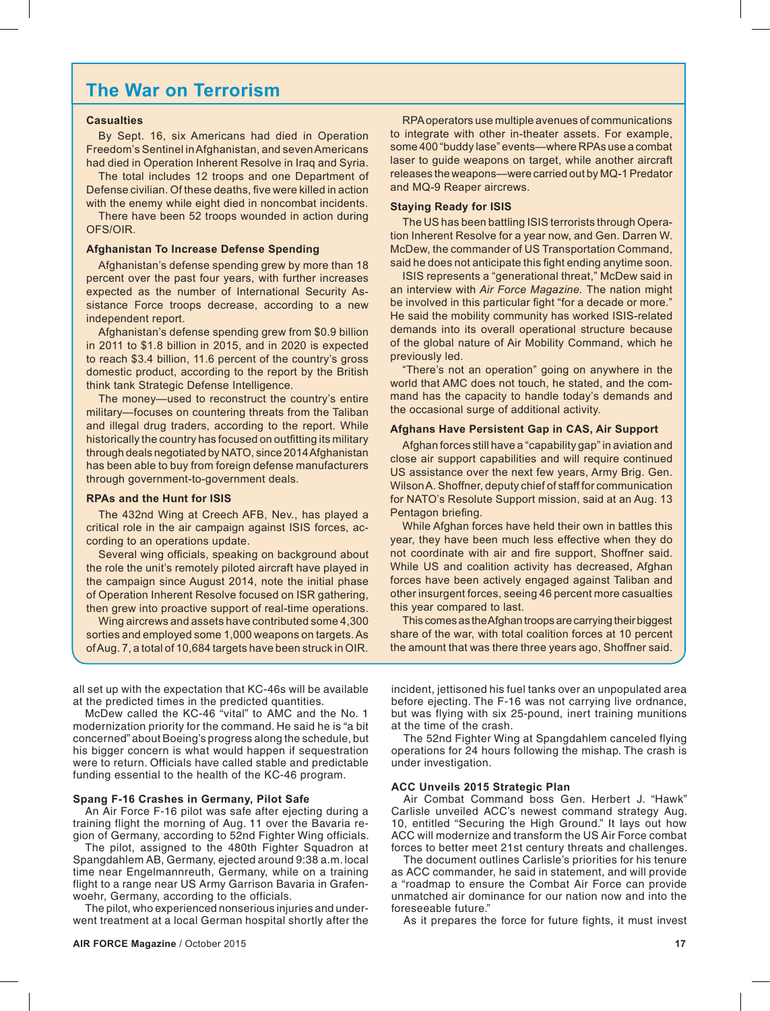### **The War on Terrorism**

### **Casualties**

By Sept. 16, six Americans had died in Operation Freedom's Sentinel in Afghanistan, and seven Americans had died in Operation Inherent Resolve in Iraq and Syria.

The total includes 12 troops and one Department of Defense civilian. Of these deaths, five were killed in action with the enemy while eight died in noncombat incidents.

There have been 52 troops wounded in action during OFS/OIR.

#### **Afghanistan To Increase Defense Spending**

Afghanistan's defense spending grew by more than 18 percent over the past four years, with further increases expected as the number of International Security Assistance Force troops decrease, according to a new independent report.

Afghanistan's defense spending grew from \$0.9 billion in 2011 to \$1.8 billion in 2015, and in 2020 is expected to reach \$3.4 billion, 11.6 percent of the country's gross domestic product, according to the report by the British think tank Strategic Defense Intelligence.

The money—used to reconstruct the country's entire military—focuses on countering threats from the Taliban and illegal drug traders, according to the report. While historically the country has focused on outfitting its military through deals negotiated by NATO, since 2014 Afghanistan has been able to buy from foreign defense manufacturers through government-to-government deals.

### **RPAs and the Hunt for ISIS**

The 432nd Wing at Creech AFB, Nev., has played a critical role in the air campaign against ISIS forces, according to an operations update.

Several wing officials, speaking on background about the role the unit's remotely piloted aircraft have played in the campaign since August 2014, note the initial phase of Operation Inherent Resolve focused on ISR gathering, then grew into proactive support of real-time operations.

Wing aircrews and assets have contributed some 4,300 sorties and employed some 1,000 weapons on targets. As of Aug. 7, a total of 10,684 targets have been struck in OIR.

all set up with the expectation that KC-46s will be available at the predicted times in the predicted quantities.

McDew called the KC-46 "vital" to AMC and the No. 1 modernization priority for the command. He said he is "a bit concerned" about Boeing's progress along the schedule, but his bigger concern is what would happen if sequestration were to return. Officials have called stable and predictable funding essential to the health of the KC-46 program.

### **Spang F-16 Crashes in Germany, Pilot Safe**

An Air Force F-16 pilot was safe after ejecting during a training flight the morning of Aug. 11 over the Bavaria region of Germany, according to 52nd Fighter Wing officials.

The pilot, assigned to the 480th Fighter Squadron at Spangdahlem AB, Germany, ejected around 9:38 a.m. local time near Engelmannreuth, Germany, while on a training flight to a range near US Army Garrison Bavaria in Grafenwoehr, Germany, according to the officials.

The pilot, who experienced nonserious injuries and underwent treatment at a local German hospital shortly after the

RPA operators use multiple avenues of communications to integrate with other in-theater assets. For example, some 400 "buddy lase" events—where RPAs use a combat laser to guide weapons on target, while another aircraft releases the weapons—were carried out by MQ-1 Predator and MQ-9 Reaper aircrews.

### **Staying Ready for ISIS**

The US has been battling ISIS terrorists through Operation Inherent Resolve for a year now, and Gen. Darren W. McDew, the commander of US Transportation Command, said he does not anticipate this fight ending anytime soon.

ISIS represents a "generational threat," McDew said in an interview with Air Force Magazine. The nation might be involved in this particular fight "for a decade or more." He said the mobility community has worked ISIS-related demands into its overall operational structure because of the global nature of Air Mobility Command, which he previously led.

"There's not an operation" going on anywhere in the world that AMC does not touch, he stated, and the comm and has the capacity to handle today's demands and the occasional surge of additional activity.

### **Afghans Have Persistent Gap in CAS, Air Support**

Afghan forces still have a "capability gap" in aviation and close air support capabilities and will require continued US assistance over the next few years, Army Brig. Gen. Wilson A. Shoffner, deputy chief of staff for communication for NATO's Resolute Support mission, said at an Aug. 13 Pentagon briefing.

While Afghan forces have held their own in battles this year, they have been much less effective when they do not coordinate with air and fire support, Shoffner said. While US and coalition activity has decreased, Afghan forces have been actively engaged against Taliban and other insurgent forces, seeing 46 percent more casualties this year compared to last.

This comes as the Afghan troops are carrying their biggest share of the war, with total coalition forces at 10 percent the amount that was there three years ago, Shoffner said.

incident, jettisoned his fuel tanks over an unpopulated area before ejecting. The F-16 was not carrying live ordnance, but was flying with six 25-pound, inert training munitions at the time of the crash.

The 52nd Fighter Wing at Spangdahlem canceled flying operations for 24 hours following the mishap. The crash is under investigation.

#### **ACC Unveils 2015 Strategic Plan**

Air Combat Command boss Gen. Herbert J. "Hawk" Carlisle unveiled ACC's newest command strategy Aug. 10, entitled "Securing the High Ground." It lays out how ACC will modernize and transform the US Air Force combat forces to better meet 21st century threats and challenges.

The document outlines Carlisle's priorities for his tenure as ACC commander, he said in statement, and will provide a "roadmap to ensure the Combat Air Force can provide unmatched air dominance for our nation now and into the foreseeable future."

As it prepares the force for future fights, it must invest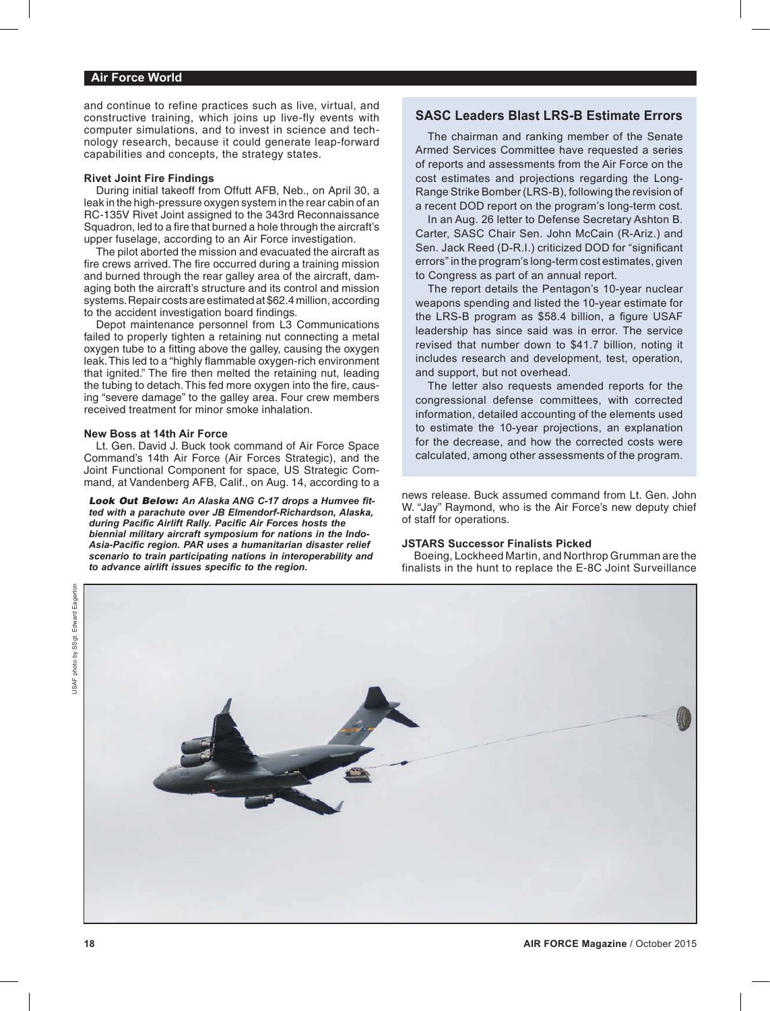### **Air Force World**

and continue to refine practices such as live, virtual, and constructive training, which joins up live-fly events with computer simulations, and to invest in science and technology research, because it could generate leap-forward capabilities and concepts, the strategy states.

### **Rivet Joint Fire Findings**

During initial takeoff from Offutt AFB, Neb., on April 30, a leak in the high-pressure oxygen system in the rear cabin of an RC-135V Rivet Joint assigned to the 343rd Reconnaissance Squadron, led to a fire that burned a hole through the aircraft's upper fuselage, according to an Air Force investigation.

The pilot aborted the mission and evacuated the aircraft as fire crews arrived. The fire occurred during a training mission and burned through the rear galley area of the aircraft, damaging both the aircraft's structure and its control and mission systems. Repair costs are estimated at \$62.4 million, according to the accident investigation board findings.

Depot maintenance personnel from L3 Communications failed to properly tighten a retaining nut connecting a metal oxygen tube to a fitting above the galley, causing the oxygen leak. This led to a "highly flammable oxygen-rich environment that ignited." The fire then melted the retaining nut, leading the tubing to detach. This fed more oxygen into the fire, causing "severe damage" to the galley area. Four crew members received treatment for minor smoke inhalation.

#### **New Boss at 14th Air Force**

Lt. Gen. David J. Buck took command of Air Force Space Command's 14th Air Force (Air Forces Strategic), and the Joint Functional Component for space, US Strategic Command, at Vandenberg AFB, Calif., on Aug. 14, according to a

*Look Out Below: An Alaska ANG C-17 drops a Humvee fitted with a parachute over JB Elmendorf-Richardson, Alaska, during Pacific Airlift Rally. Pacific Air Forces hosts the biennial military aircraft symposium for nations in the Indo-Asia-Pacific region. PAR uses a humanitarian disaster relief scenario to train participating nations in interoperability and to advance airlift issues specific to the region.*

### **SASC Leaders Blast LRS-B Estimate Errors**

The chairman and ranking member of the Senate Armed Services Committee have requested a series of reports and assessments from the Air Force on the cost estimates and projections regarding the Long-Range Strike Bomber (LRS-B), following the revision of a recent DOD report on the program's long-term cost.

In an Aug. 26 letter to Defense Secretary Ashton B. Carter, SASC Chair Sen. John McCain (R-Ariz.) and Sen. Jack Reed (D-R.I.) criticized DOD for "significant errors" in the program's long-term cost estimates, given to Congress as part of an annual report.

The report details the Pentagon's 10-year nuclear weapons spending and listed the 10-vear estimate for the LRS-B program as \$58.4 billion, a figure USAF leadership has since said was in error. The service revised that number down to \$41.7 billion, noting it includes research and development, test, operation, and support, but not overhead.

The letter also requests amended reports for the congressional defense committees, with corrected information, detailed accounting of the elements used to estimate the 10-year projections, an explanation for the decrease, and how the corrected costs were calculated, among other assessments of the program.

news release. Buck assumed command from Lt. Gen. John W. "Jay" Raymond, who is the Air Force's new deputy chief of staff for operations.

#### **JSTARS Successor Finalists Picked**

Boeing, Lockheed Martin, and Northrop Grumman are the finalists in the hunt to replace the E-8C Joint Surveillance



USAF photo by SSgt. Edward Eagerton

JSAF photo by SSgt. Edward Eagertor